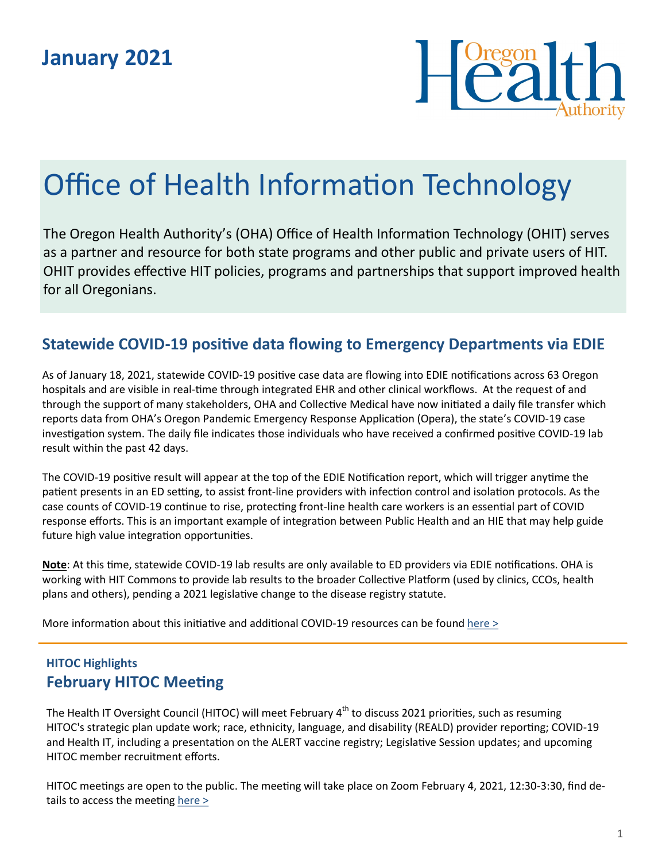

# Office of Health Information Technology

The Oregon Health Authority's (OHA) Office of Health Information Technology (OHIT) serves as a partner and resource for both state programs and other public and private users of HIT. OHIT provides effective HIT policies, programs and partnerships that support improved health for all Oregonians.

## **Statewide COVID-19 positive data flowing to Emergency Departments via EDIE**

As of January 18, 2021, statewide COVID-19 positive case data are flowing into EDIE notifications across 63 Oregon hospitals and are visible in real-time through integrated EHR and other clinical workflows. At the request of and through the support of many stakeholders, OHA and Collective Medical have now initiated a daily file transfer which reports data from OHA's Oregon Pandemic Emergency Response Application (Opera), the state's COVID-19 case investigation system. The daily file indicates those individuals who have received a confirmed positive COVID-19 lab result within the past 42 days.

The COVID-19 positive result will appear at the top of the EDIE Notification report, which will trigger anytime the patient presents in an ED setting, to assist front-line providers with infection control and isolation protocols. As the case counts of COVID-19 continue to rise, protecting front-line health care workers is an essential part of COVID response efforts. This is an important example of integration between Public Health and an HIE that may help guide future high value integration opportunities.

**Note**: At this time, statewide COVID-19 lab results are only available to ED providers via EDIE notifications. OHA is working with HIT Commons to provide lab results to the broader Collective Platform (used by clinics, CCOs, health plans and others), pending a 2021 legislative change to the disease registry statute.

More information about this initiative and additional COVID-19 resources can be found [here >](http://www.orhealthleadershipcouncil.org/covid-19-resources-for-collective-platform/)

## **HITOC Highlights February HITOC Meeting**

The Health IT Oversight Council (HITOC) will meet February 4<sup>th</sup> to discuss 2021 priorities, such as resuming HITOC's strategic plan update work; race, ethnicity, language, and disability (REALD) provider reporting; COVID-19 and Health IT, including a presentation on the ALERT vaccine registry; Legislative Session updates; and upcoming HITOC member recruitment efforts.

HITOC meetings are open to the public. The meeting will take place on Zoom February 4, 2021, 12:30-3:30, find details to access the meeting here  $>$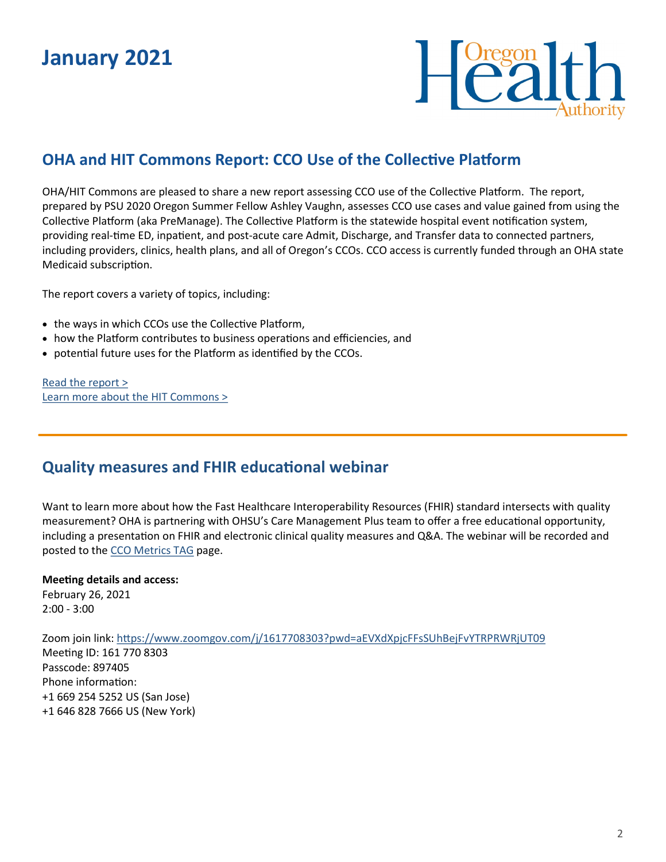## **January 2021**



## **OHA and HIT Commons Report: CCO Use of the Collective Platform**

OHA/HIT Commons are pleased to share a new report assessing CCO use of the Collective Platform. The report, prepared by PSU 2020 Oregon Summer Fellow Ashley Vaughn, assesses CCO use cases and value gained from using the Collective Platform (aka PreManage). The Collective Platform is the statewide hospital event notification system, providing real-time ED, inpatient, and post-acute care Admit, Discharge, and Transfer data to connected partners, including providers, clinics, health plans, and all of Oregon's CCOs. CCO access is currently funded through an OHA state Medicaid subscription.

The report covers a variety of topics, including:

- the ways in which CCOs use the Collective Platform,
- how the Platform contributes to business operations and efficiencies, and
- potential future uses for the Platform as identified by the CCOs.

[Read the report >](http://www.orhealthleadershipcouncil.org/wp-content/uploads/2021/01/Final-Report-CCO-Collective-Platform-Use-Project.pdf) [Learn more about the HIT Commons >](http://www.orhealthleadershipcouncil.org/hit-commons/)

### **Quality measures and FHIR educational webinar**

Want to learn more about how the Fast Healthcare Interoperability Resources (FHIR) standard intersects with quality measurement? OHA is partnering with OHSU's Care Management Plus team to offer a free educational opportunity, including a presentation on FHIR and electronic clinical quality measures and Q&A. The webinar will be recorded and posted to the [CCO Metrics TAG](https://www.oregon.gov/oha/HPA/ANALYTICS/Pages/Metrics-Technical-Advisory-Group-Archives.aspx) page.

#### **Meeting details and access:**

February 26, 2021 2:00 - 3:00

Zoom join link: <https://www.zoomgov.com/j/1617708303?pwd=aEVXdXpjcFFsSUhBejFvYTRPRWRjUT09> Meeting ID: 161 770 8303 Passcode: 897405 Phone information: +1 669 254 5252 US (San Jose) +1 646 828 7666 US (New York)